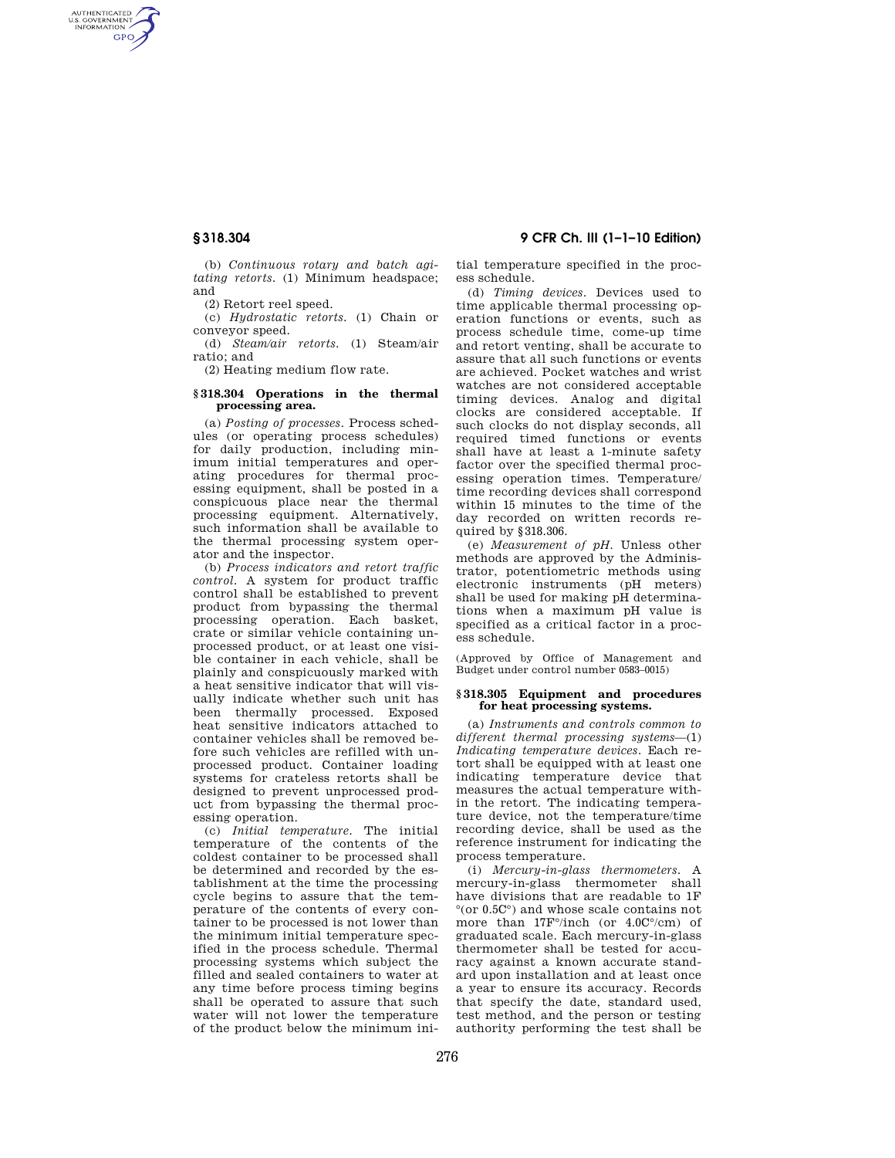AUTHENTICATED<br>U.S. GOVERNMENT<br>INFORMATION **GPO** 

> (b) *Continuous rotary and batch agitating retorts.* (1) Minimum headspace; and

(2) Retort reel speed.

(c) *Hydrostatic retorts.* (1) Chain or conveyor speed.

(d) *Steam/air retorts.* (1) Steam/air ratio; and

(2) Heating medium flow rate.

#### **§ 318.304 Operations in the thermal processing area.**

(a) *Posting of processes.* Process schedules (or operating process schedules) for daily production, including minimum initial temperatures and operating procedures for thermal processing equipment, shall be posted in a conspicuous place near the thermal processing equipment. Alternatively, such information shall be available to the thermal processing system operator and the inspector.

(b) *Process indicators and retort traffic control.* A system for product traffic control shall be established to prevent product from bypassing the thermal processing operation. Each basket, crate or similar vehicle containing unprocessed product, or at least one visible container in each vehicle, shall be plainly and conspicuously marked with a heat sensitive indicator that will visually indicate whether such unit has been thermally processed. Exposed heat sensitive indicators attached to container vehicles shall be removed before such vehicles are refilled with unprocessed product. Container loading systems for crateless retorts shall be designed to prevent unprocessed product from bypassing the thermal processing operation.

(c) *Initial temperature.* The initial temperature of the contents of the coldest container to be processed shall be determined and recorded by the establishment at the time the processing cycle begins to assure that the temperature of the contents of every container to be processed is not lower than the minimum initial temperature specified in the process schedule. Thermal processing systems which subject the filled and sealed containers to water at any time before process timing begins shall be operated to assure that such water will not lower the temperature of the product below the minimum ini-

# **§ 318.304 9 CFR Ch. III (1–1–10 Edition)**

tial temperature specified in the process schedule.

(d) *Timing devices.* Devices used to time applicable thermal processing operation functions or events, such as process schedule time, come-up time and retort venting, shall be accurate to assure that all such functions or events are achieved. Pocket watches and wrist watches are not considered acceptable timing devices. Analog and digital clocks are considered acceptable. If such clocks do not display seconds, all required timed functions or events shall have at least a 1-minute safety factor over the specified thermal processing operation times. Temperature/ time recording devices shall correspond within 15 minutes to the time of the day recorded on written records required by §318.306.

(e) *Measurement of pH.* Unless other methods are approved by the Administrator, potentiometric methods using electronic instruments (pH meters) shall be used for making pH determinations when a maximum pH value is specified as a critical factor in a process schedule.

(Approved by Office of Management and Budget under control number 0583–0015)

#### **§ 318.305 Equipment and procedures for heat processing systems.**

(a) *Instruments and controls common to different thermal processing systems*—(1) *Indicating temperature devices.* Each retort shall be equipped with at least one indicating temperature device that measures the actual temperature within the retort. The indicating temperature device, not the temperature/time recording device, shall be used as the reference instrument for indicating the process temperature.

(i) *Mercury-in-glass thermometers.* A mercury-in-glass thermometer shall have divisions that are readable to 1F °(or 0.5C°) and whose scale contains not more than 17F°/inch (or 4.0C°/cm) of graduated scale. Each mercury-in-glass thermometer shall be tested for accuracy against a known accurate standard upon installation and at least once a year to ensure its accuracy. Records that specify the date, standard used, test method, and the person or testing authority performing the test shall be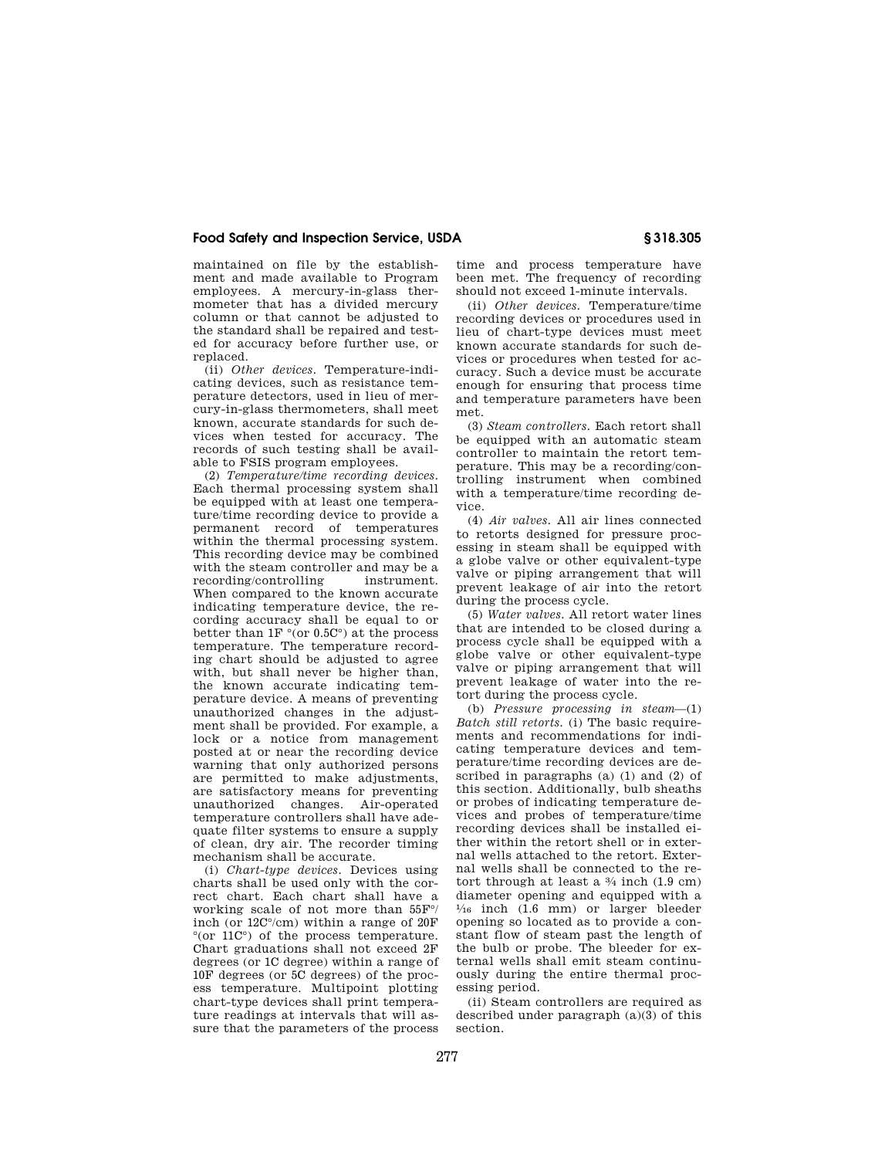maintained on file by the establishment and made available to Program employees. A mercury-in-glass thermometer that has a divided mercury column or that cannot be adjusted to the standard shall be repaired and tested for accuracy before further use, or replaced.

(ii) *Other devices.* Temperature-indicating devices, such as resistance temperature detectors, used in lieu of mercury-in-glass thermometers, shall meet known, accurate standards for such devices when tested for accuracy. The records of such testing shall be available to FSIS program employees.

(2) *Temperature/time recording devices.*  Each thermal processing system shall be equipped with at least one temperature/time recording device to provide a permanent record of temperatures within the thermal processing system. This recording device may be combined with the steam controller and may be a recording/controlling instrument. When compared to the known accurate indicating temperature device, the recording accuracy shall be equal to or better than  $1F \circ (or 0.5C)$  at the process temperature. The temperature recording chart should be adjusted to agree with, but shall never be higher than, the known accurate indicating temperature device. A means of preventing unauthorized changes in the adjustment shall be provided. For example, a lock or a notice from management posted at or near the recording device warning that only authorized persons are permitted to make adjustments, are satisfactory means for preventing unauthorized changes. Air-operated temperature controllers shall have adequate filter systems to ensure a supply of clean, dry air. The recorder timing mechanism shall be accurate.

(i) *Chart-type devices.* Devices using charts shall be used only with the correct chart. Each chart shall have a working scale of not more than 55F°/ inch (or 12C°/cm) within a range of 20F  $\degree$ (or 11C $\degree$ ) of the process temperature. Chart graduations shall not exceed 2F degrees (or 1C degree) within a range of 10F degrees (or 5C degrees) of the process temperature. Multipoint plotting chart-type devices shall print temperature readings at intervals that will assure that the parameters of the process

time and process temperature have been met. The frequency of recording should not exceed 1-minute intervals.

(ii) *Other devices.* Temperature/time recording devices or procedures used in lieu of chart-type devices must meet known accurate standards for such devices or procedures when tested for accuracy. Such a device must be accurate enough for ensuring that process time and temperature parameters have been met.

(3) *Steam controllers.* Each retort shall be equipped with an automatic steam controller to maintain the retort temperature. This may be a recording/controlling instrument when combined with a temperature/time recording device.

(4) *Air valves.* All air lines connected to retorts designed for pressure processing in steam shall be equipped with a globe valve or other equivalent-type valve or piping arrangement that will prevent leakage of air into the retort during the process cycle.

(5) *Water valves.* All retort water lines that are intended to be closed during a process cycle shall be equipped with a globe valve or other equivalent-type valve or piping arrangement that will prevent leakage of water into the retort during the process cycle.

(b) *Pressure processing in steam*—(1) *Batch still retorts.* (i) The basic requirements and recommendations for indicating temperature devices and temperature/time recording devices are described in paragraphs (a) (1) and (2) of this section. Additionally, bulb sheaths or probes of indicating temperature devices and probes of temperature/time recording devices shall be installed either within the retort shell or in external wells attached to the retort. External wells shall be connected to the retort through at least a 3⁄4 inch (1.9 cm) diameter opening and equipped with a  $\frac{1}{16}$  inch (1.6 mm) or larger bleeder opening so located as to provide a constant flow of steam past the length of the bulb or probe. The bleeder for external wells shall emit steam continuously during the entire thermal processing period.

(ii) Steam controllers are required as described under paragraph (a)(3) of this section.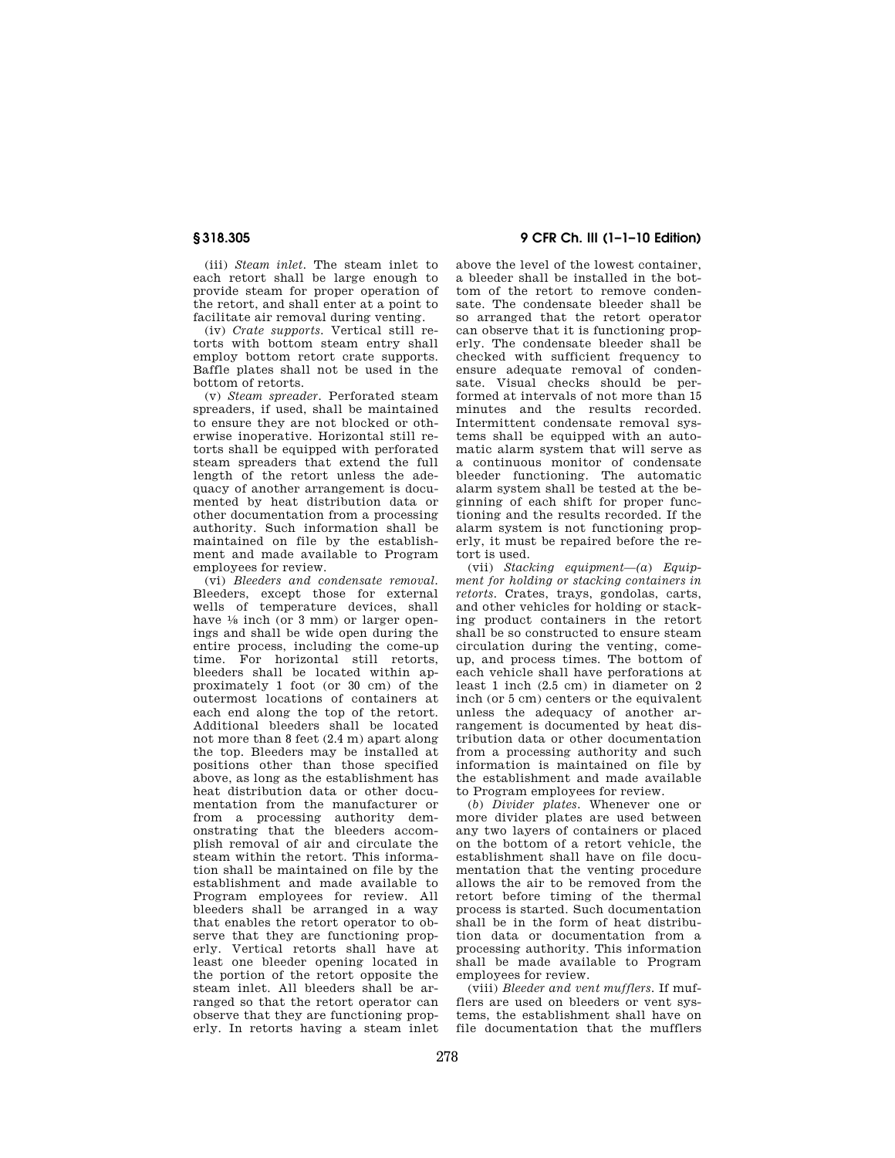(iii) *Steam inlet.* The steam inlet to each retort shall be large enough to provide steam for proper operation of the retort, and shall enter at a point to facilitate air removal during venting.

(iv) *Crate supports.* Vertical still retorts with bottom steam entry shall employ bottom retort crate supports. Baffle plates shall not be used in the bottom of retorts.

(v) *Steam spreader.* Perforated steam spreaders, if used, shall be maintained to ensure they are not blocked or otherwise inoperative. Horizontal still retorts shall be equipped with perforated steam spreaders that extend the full length of the retort unless the adequacy of another arrangement is documented by heat distribution data or other documentation from a processing authority. Such information shall be maintained on file by the establishment and made available to Program employees for review.

(vi) *Bleeders and condensate removal.*  Bleeders, except those for external wells of temperature devices, shall have  $\frac{1}{8}$  inch (or 3 mm) or larger openings and shall be wide open during the entire process, including the come-up time. For horizontal still retorts, bleeders shall be located within approximately 1 foot (or 30 cm) of the outermost locations of containers at each end along the top of the retort. Additional bleeders shall be located not more than 8 feet (2.4 m) apart along the top. Bleeders may be installed at positions other than those specified above, as long as the establishment has heat distribution data or other documentation from the manufacturer or from a processing authority demonstrating that the bleeders accomplish removal of air and circulate the steam within the retort. This information shall be maintained on file by the establishment and made available to Program employees for review. All bleeders shall be arranged in a way that enables the retort operator to observe that they are functioning properly. Vertical retorts shall have at least one bleeder opening located in the portion of the retort opposite the steam inlet. All bleeders shall be arranged so that the retort operator can observe that they are functioning properly. In retorts having a steam inlet

# **§ 318.305 9 CFR Ch. III (1–1–10 Edition)**

above the level of the lowest container, a bleeder shall be installed in the bottom of the retort to remove condensate. The condensate bleeder shall be so arranged that the retort operator can observe that it is functioning properly. The condensate bleeder shall be checked with sufficient frequency to ensure adequate removal of condensate. Visual checks should be performed at intervals of not more than 15 minutes and the results recorded. Intermittent condensate removal systems shall be equipped with an automatic alarm system that will serve as a continuous monitor of condensate bleeder functioning. The automatic alarm system shall be tested at the beginning of each shift for proper functioning and the results recorded. If the alarm system is not functioning properly, it must be repaired before the retort is used.

(vii) *Stacking equipment—(a*) *Equipment for holding or stacking containers in retorts.* Crates, trays, gondolas, carts, and other vehicles for holding or stacking product containers in the retort shall be so constructed to ensure steam circulation during the venting, comeup, and process times. The bottom of each vehicle shall have perforations at least 1 inch (2.5 cm) in diameter on 2 inch (or 5 cm) centers or the equivalent unless the adequacy of another arrangement is documented by heat distribution data or other documentation from a processing authority and such information is maintained on file by the establishment and made available to Program employees for review.

(*b*) *Divider plates.* Whenever one or more divider plates are used between any two layers of containers or placed on the bottom of a retort vehicle, the establishment shall have on file documentation that the venting procedure allows the air to be removed from the retort before timing of the thermal process is started. Such documentation shall be in the form of heat distribution data or documentation from a processing authority. This information shall be made available to Program employees for review.

(viii) *Bleeder and vent mufflers.* If mufflers are used on bleeders or vent systems, the establishment shall have on file documentation that the mufflers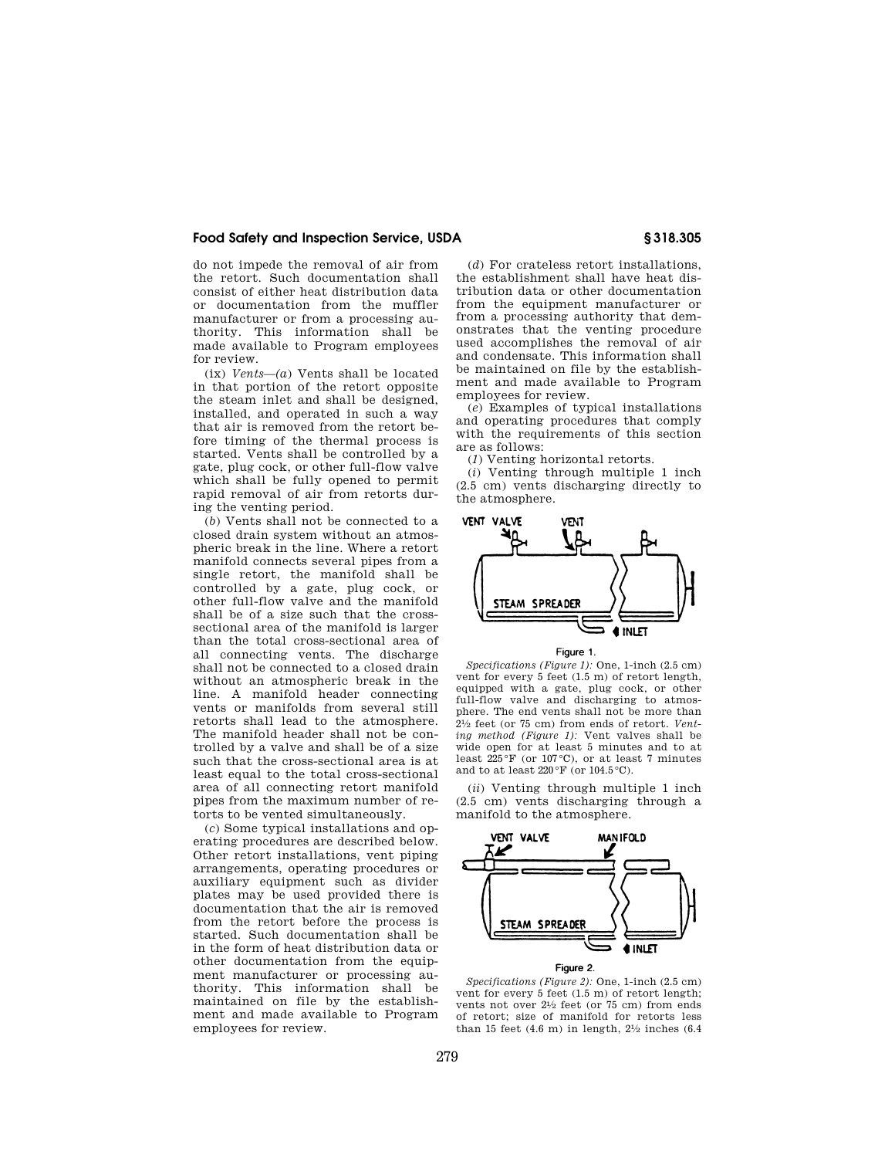do not impede the removal of air from the retort. Such documentation shall consist of either heat distribution data or documentation from the muffler manufacturer or from a processing authority. This information shall be made available to Program employees for review.

(ix) *Vents—(a*) Vents shall be located in that portion of the retort opposite the steam inlet and shall be designed, installed, and operated in such a way that air is removed from the retort before timing of the thermal process is started. Vents shall be controlled by a gate, plug cock, or other full-flow valve which shall be fully opened to permit rapid removal of air from retorts during the venting period.

(*b*) Vents shall not be connected to a closed drain system without an atmospheric break in the line. Where a retort manifold connects several pipes from a single retort, the manifold shall be controlled by a gate, plug cock, or other full-flow valve and the manifold shall be of a size such that the crosssectional area of the manifold is larger than the total cross-sectional area of all connecting vents. The discharge shall not be connected to a closed drain without an atmospheric break in the line. A manifold header connecting vents or manifolds from several still retorts shall lead to the atmosphere. The manifold header shall not be controlled by a valve and shall be of a size such that the cross-sectional area is at least equal to the total cross-sectional area of all connecting retort manifold pipes from the maximum number of retorts to be vented simultaneously.

(*c*) Some typical installations and operating procedures are described below. Other retort installations, vent piping arrangements, operating procedures or auxiliary equipment such as divider plates may be used provided there is documentation that the air is removed from the retort before the process is started. Such documentation shall be in the form of heat distribution data or other documentation from the equipment manufacturer or processing authority. This information shall be maintained on file by the establishment and made available to Program employees for review.

(*d*) For crateless retort installations, the establishment shall have heat distribution data or other documentation from the equipment manufacturer or from a processing authority that demonstrates that the venting procedure used accomplishes the removal of air and condensate. This information shall be maintained on file by the establishment and made available to Program employees for review.

(*e*) Examples of typical installations and operating procedures that comply with the requirements of this section are as follows:

(*1*) Venting horizontal retorts.

(*i*) Venting through multiple 1 inch (2.5 cm) vents discharging directly to the atmosphere.





*Specifications (Figure 1):* One, 1-inch (2.5 cm) vent for every 5 feet (1.5 m) of retort length, equipped with a gate, plug cock, or other full-flow valve and discharging to atmosphere. The end vents shall not be more than 21⁄2 feet (or 75 cm) from ends of retort. *Venting method (Figure 1):* Vent valves shall be wide open for at least 5 minutes and to at least  $225\textdegree F$  (or  $107\textdegree C$ ), or at least 7 minutes and to at least  $220\,^{\circ}\text{F}$  (or  $104.5\,^{\circ}\text{C}$ ).

(*ii*) Venting through multiple 1 inch (2.5 cm) vents discharging through a manifold to the atmosphere.



Figure 2.

*Specifications (Figure 2):* One, 1-inch (2.5 cm) vent for every 5 feet (1.5 m) of retort length; vents not over 21/2 feet (or 75 cm) from ends of retort; size of manifold for retorts less than 15 feet  $(4.6 \text{ m})$  in length,  $2\frac{1}{2}$  inches  $(6.4 \text{ m})$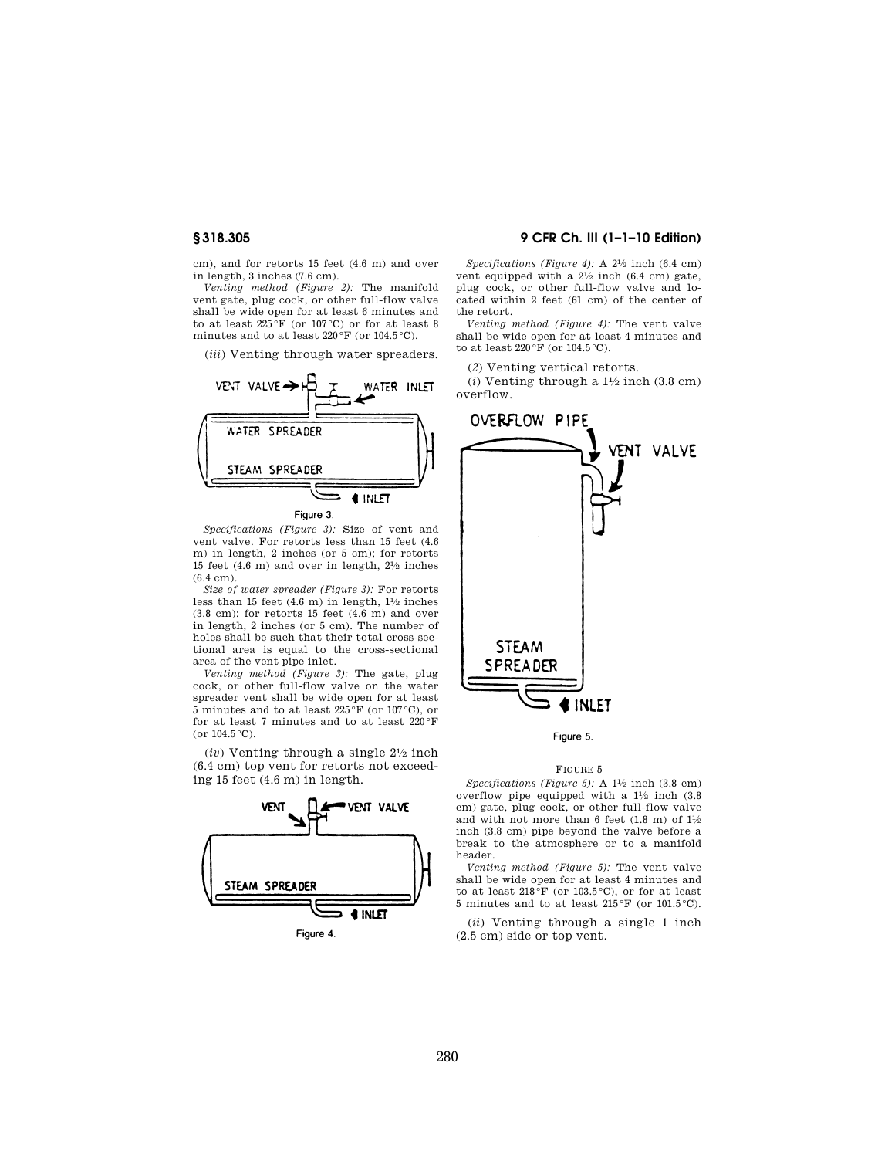cm), and for retorts 15 feet (4.6 m) and over in length, 3 inches (7.6 cm).

*Venting method (Figure 2):* The manifold vent gate, plug cock, or other full-flow valve shall be wide open for at least 6 minutes and to at least 225 $\mathrm{^{\circ}F}$  (or 107 $\mathrm{^{\circ}C})$  or for at least 8 minutes and to at least  $220\,^{\circ}\text{F}$  (or  $104.5\,^{\circ}\text{C}$ ).

(*iii*) Venting through water spreaders.



*Specifications (Figure 3):* Size of vent and vent valve. For retorts less than 15 feet (4.6 m) in length, 2 inches (or 5 cm); for retorts 15 feet (4.6 m) and over in length, 21⁄2 inches (6.4 cm).

*Size of water spreader (Figure 3):* For retorts less than 15 feet (4.6 m) in length, 11⁄2 inches  $(3.8 \text{ cm})$ ; for retorts 15 feet  $(4.6 \text{ m})$  and over in length, 2 inches (or 5 cm). The number of holes shall be such that their total cross-sectional area is equal to the cross-sectional area of the vent pipe inlet.

*Venting method (Figure 3):* The gate, plug cock, or other full-flow valve on the water spreader vent shall be wide open for at least 5 minutes and to at least 225 °F (or 107 °C), or for at least 7 minutes and to at least 220 °F (or  $104.5\,^{\circ}\text{C}$ ).

(*iv*) Venting through a single 21⁄2 inch (6.4 cm) top vent for retorts not exceeding 15 feet (4.6 m) in length.



# **§ 318.305 9 CFR Ch. III (1–1–10 Edition)**

*Specifications (Figure 4):* A 21⁄2 inch (6.4 cm) vent equipped with a  $2^{1/2}$  inch (6.4 cm) gate, plug cock, or other full-flow valve and located within 2 feet (61 cm) of the center of the retort.

*Venting method (Figure 4):* The vent valve shall be wide open for at least 4 minutes and to at least  $220\,\mathrm{°F}$  (or  $104.5\,\mathrm{°C}$ ).

(*2*) Venting vertical retorts.

 $(i)$  Venting through a  $1\frac{1}{2}$  inch  $(3.8 \text{ cm})$ overflow.



Figure 5.

#### FIGURE 5

*Specifications (Figure 5):* A 11⁄2 inch (3.8 cm) overflow pipe equipped with a 11⁄2 inch (3.8 cm) gate, plug cock, or other full-flow valve and with not more than 6 feet (1.8 m) of  $1\frac{1}{2}$ inch (3.8 cm) pipe beyond the valve before a break to the atmosphere or to a manifold header.

*Venting method (Figure 5):* The vent valve shall be wide open for at least 4 minutes and to at least  $218\,\mathrm{^{\circ}F}$  (or 103.5 $\mathrm{^{\circ}C}$ ), or for at least 5 minutes and to at least  $215\,^{\circ}\text{F}$  (or  $101.5\,^{\circ}\text{C}$ ).

(*ii*) Venting through a single 1 inch (2.5 cm) side or top vent.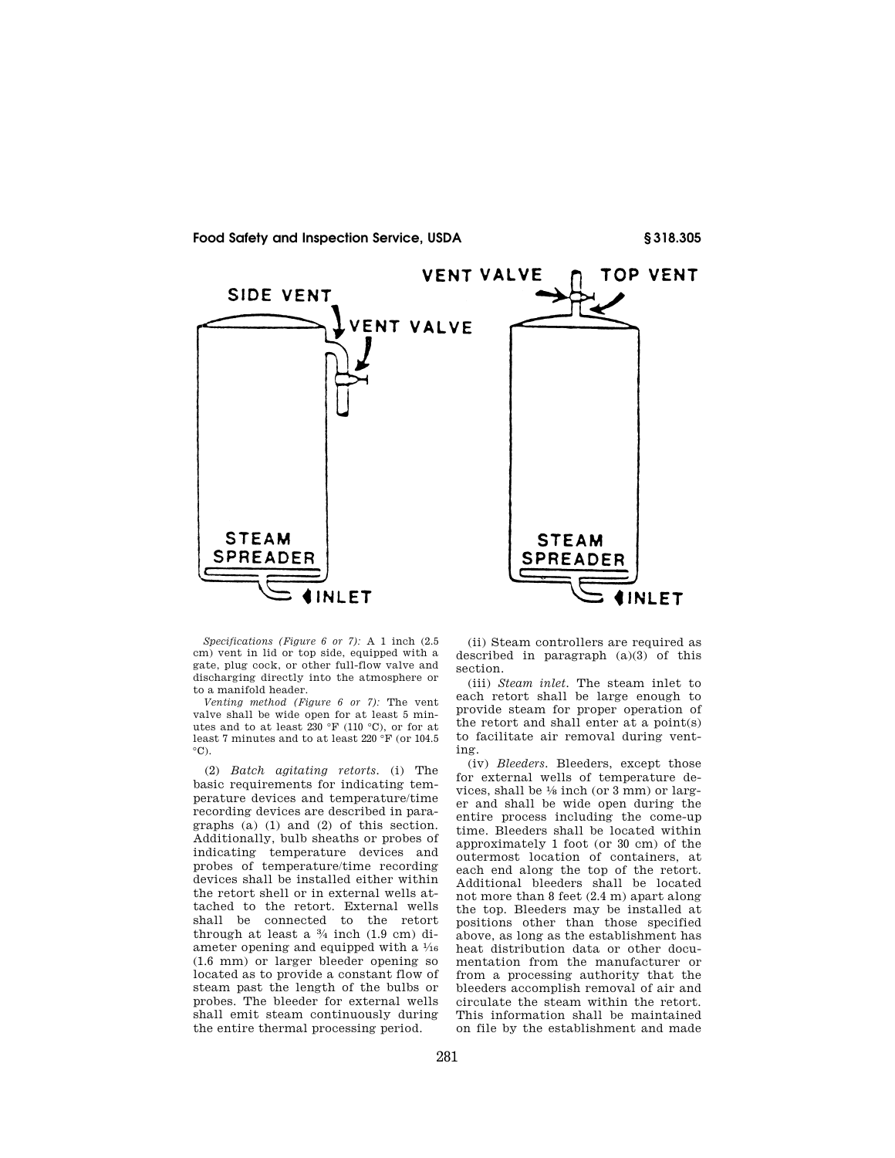

*Specifications (Figure 6 or 7):* A 1 inch (2.5 cm) vent in lid or top side, equipped with a gate, plug cock, or other full-flow valve and discharging directly into the atmosphere or to a manifold header.

*Venting method (Figure 6 or 7):* The vent valve shall be wide open for at least 5 minutes and to at least 230 °F (110 °C), or for at least 7 minutes and to at least 220 °F (or 104.5  $^{\circ}$ C).

(2) *Batch agitating retorts.* (i) The basic requirements for indicating temperature devices and temperature/time recording devices are described in paragraphs (a) (1) and (2) of this section. Additionally, bulb sheaths or probes of indicating temperature devices and probes of temperature/time recording devices shall be installed either within the retort shell or in external wells attached to the retort. External wells shall be connected to the retort through at least a 3⁄4 inch (1.9 cm) diameter opening and equipped with a  $\frac{1}{16}$ (1.6 mm) or larger bleeder opening so located as to provide a constant flow of steam past the length of the bulbs or probes. The bleeder for external wells shall emit steam continuously during the entire thermal processing period.

(ii) Steam controllers are required as described in paragraph (a)(3) of this section.

(iii) *Steam inlet.* The steam inlet to each retort shall be large enough to provide steam for proper operation of the retort and shall enter at a point(s) to facilitate air removal during venting.

(iv) *Bleeders.* Bleeders, except those for external wells of temperature devices, shall be 1⁄8 inch (or 3 mm) or larger and shall be wide open during the entire process including the come-up time. Bleeders shall be located within approximately 1 foot (or 30 cm) of the outermost location of containers, at each end along the top of the retort. Additional bleeders shall be located not more than 8 feet (2.4 m) apart along the top. Bleeders may be installed at positions other than those specified above, as long as the establishment has heat distribution data or other documentation from the manufacturer or from a processing authority that the bleeders accomplish removal of air and circulate the steam within the retort. This information shall be maintained on file by the establishment and made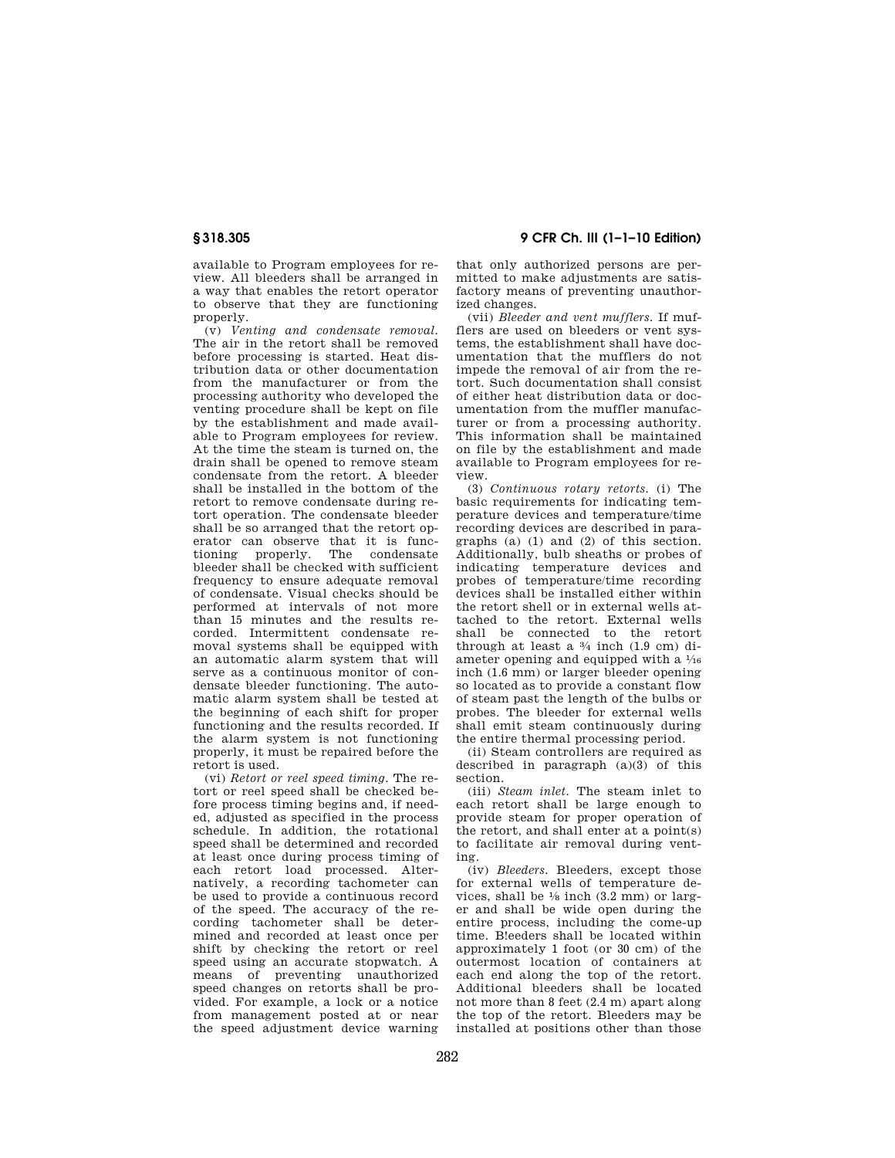available to Program employees for review. All bleeders shall be arranged in a way that enables the retort operator to observe that they are functioning properly.

(v) *Venting and condensate removal.*  The air in the retort shall be removed before processing is started. Heat distribution data or other documentation from the manufacturer or from the processing authority who developed the venting procedure shall be kept on file by the establishment and made available to Program employees for review. At the time the steam is turned on, the drain shall be opened to remove steam condensate from the retort. A bleeder shall be installed in the bottom of the retort to remove condensate during retort operation. The condensate bleeder shall be so arranged that the retort operator can observe that it is functioning properly. The condensate bleeder shall be checked with sufficient frequency to ensure adequate removal of condensate. Visual checks should be performed at intervals of not more than 15 minutes and the results recorded. Intermittent condensate removal systems shall be equipped with an automatic alarm system that will serve as a continuous monitor of condensate bleeder functioning. The automatic alarm system shall be tested at the beginning of each shift for proper functioning and the results recorded. If the alarm system is not functioning properly, it must be repaired before the retort is used.

(vi) *Retort or reel speed timing.* The retort or reel speed shall be checked before process timing begins and, if needed, adjusted as specified in the process schedule. In addition, the rotational speed shall be determined and recorded at least once during process timing of each retort load processed. Alternatively, a recording tachometer can be used to provide a continuous record of the speed. The accuracy of the recording tachometer shall be determined and recorded at least once per shift by checking the retort or reel speed using an accurate stopwatch. A means of preventing unauthorized speed changes on retorts shall be provided. For example, a lock or a notice from management posted at or near the speed adjustment device warning

# **§ 318.305 9 CFR Ch. III (1–1–10 Edition)**

that only authorized persons are permitted to make adjustments are satisfactory means of preventing unauthorized changes.

(vii) *Bleeder and vent mufflers.* If mufflers are used on bleeders or vent systems, the establishment shall have documentation that the mufflers do not impede the removal of air from the retort. Such documentation shall consist of either heat distribution data or documentation from the muffler manufacturer or from a processing authority. This information shall be maintained on file by the establishment and made available to Program employees for review.

(3) *Continuous rotary retorts.* (i) The basic requirements for indicating temperature devices and temperature/time recording devices are described in paragraphs (a) (1) and (2) of this section. Additionally, bulb sheaths or probes of indicating temperature devices and probes of temperature/time recording devices shall be installed either within the retort shell or in external wells attached to the retort. External wells shall be connected to the retort through at least a 3⁄4 inch (1.9 cm) diameter opening and equipped with a 1⁄16 inch (1.6 mm) or larger bleeder opening so located as to provide a constant flow of steam past the length of the bulbs or probes. The bleeder for external wells shall emit steam continuously during the entire thermal processing period.

(ii) Steam controllers are required as described in paragraph  $(a)(3)$  of this section.

(iii) *Steam inlet.* The steam inlet to each retort shall be large enough to provide steam for proper operation of the retort, and shall enter at a point(s) to facilitate air removal during venting.

(iv) *Bleeders.* Bleeders, except those for external wells of temperature devices, shall be  $\frac{1}{8}$  inch  $(3.2 \text{ mm})$  or larger and shall be wide open during the entire process, including the come-up time. B!eeders shall be located within approximately 1 foot (or 30 cm) of the outermost location of containers at each end along the top of the retort. Additional bleeders shall be located not more than 8 feet (2.4 m) apart along the top of the retort. Bleeders may be installed at positions other than those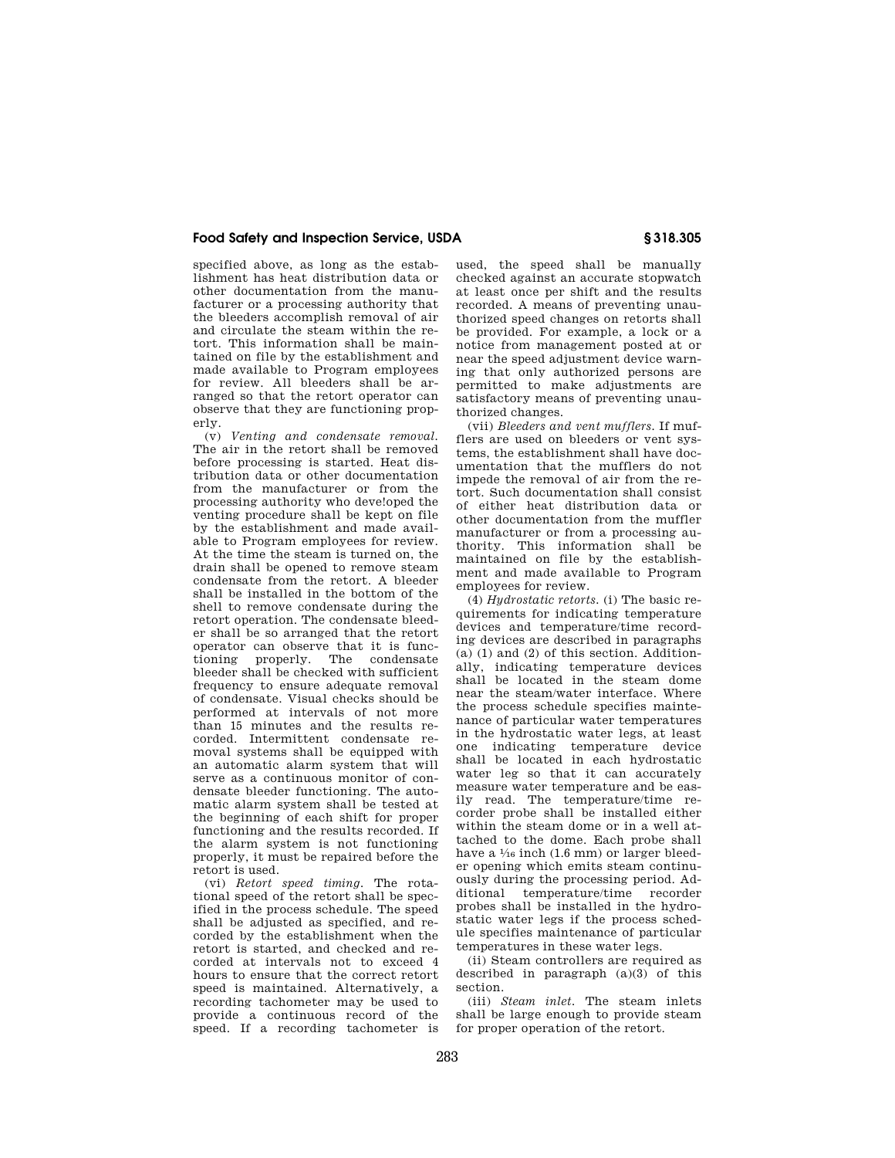specified above, as long as the establishment has heat distribution data or other documentation from the manufacturer or a processing authority that the bleeders accomplish removal of air and circulate the steam within the retort. This information shall be maintained on file by the establishment and made available to Program employees for review. All bleeders shall be arranged so that the retort operator can observe that they are functioning properly.

(v) *Venting and condensate removal.*  The air in the retort shall be removed before processing is started. Heat distribution data or other documentation from the manufacturer or from the processing authority who deve!oped the venting procedure shall be kept on file by the establishment and made available to Program employees for review. At the time the steam is turned on, the drain shall be opened to remove steam condensate from the retort. A bleeder shall be installed in the bottom of the shell to remove condensate during the retort operation. The condensate bleeder shall be so arranged that the retort operator can observe that it is functioning properly. The condensate bleeder shall be checked with sufficient frequency to ensure adequate removal of condensate. Visual checks should be performed at intervals of not more than 15 minutes and the results recorded. Intermittent condensate removal systems shall be equipped with an automatic alarm system that will serve as a continuous monitor of condensate bleeder functioning. The automatic alarm system shall be tested at the beginning of each shift for proper functioning and the results recorded. If the alarm system is not functioning properly, it must be repaired before the retort is used.

(vi) *Retort speed timing.* The rotational speed of the retort shall be specified in the process schedule. The speed shall be adjusted as specified, and recorded by the establishment when the retort is started, and checked and recorded at intervals not to exceed 4 hours to ensure that the correct retort speed is maintained. Alternatively, a recording tachometer may be used to provide a continuous record of the speed. If a recording tachometer is

used, the speed shall be manually checked against an accurate stopwatch at least once per shift and the results recorded. A means of preventing unauthorized speed changes on retorts shall be provided. For example, a lock or a notice from management posted at or near the speed adjustment device warning that only authorized persons are permitted to make adjustments are satisfactory means of preventing unauthorized changes.

(vii) *Bleeders and vent mufflers.* If mufflers are used on bleeders or vent systems, the establishment shall have documentation that the mufflers do not impede the removal of air from the retort. Such documentation shall consist of either heat distribution data or other documentation from the muffler manufacturer or from a processing authority. This information shall be maintained on file by the establishment and made available to Program employees for review.

(4) *Hydrostatic retorts.* (i) The basic requirements for indicating temperature devices and temperature/time recording devices are described in paragraphs (a) (1) and (2) of this section. Additionally, indicating temperature devices shall be located in the steam dome near the steam/water interface. Where the process schedule specifies maintenance of particular water temperatures in the hydrostatic water legs, at least one indicating temperature device shall be located in each hydrostatic water leg so that it can accurately measure water temperature and be easily read. The temperature/time recorder probe shall be installed either within the steam dome or in a well attached to the dome. Each probe shall have a  $\frac{1}{6}$  inch (1.6 mm) or larger bleeder opening which emits steam continuously during the processing period. Additional temperature/time recorder probes shall be installed in the hydrostatic water legs if the process schedule specifies maintenance of particular temperatures in these water legs.

(ii) Steam controllers are required as described in paragraph (a)(3) of this section.

(iii) *Steam inlet.* The steam inlets shall be large enough to provide steam for proper operation of the retort.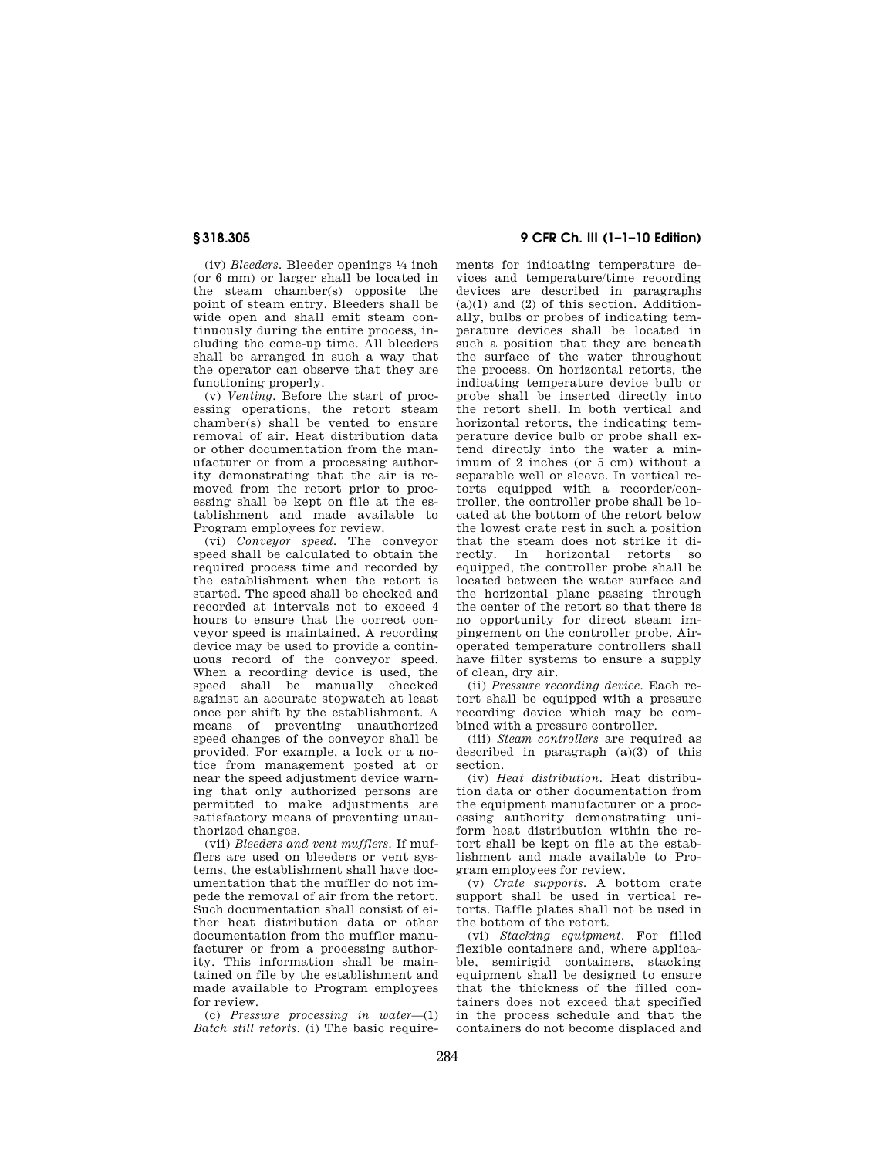(iv) *Bleeders.* Bleeder openings 1⁄4 inch (or 6 mm) or larger shall be located in the steam chamber(s) opposite the point of steam entry. Bleeders shall be wide open and shall emit steam continuously during the entire process, including the come-up time. All bleeders shall be arranged in such a way that the operator can observe that they are functioning properly.

(v) *Venting.* Before the start of processing operations, the retort steam chamber(s) shall be vented to ensure removal of air. Heat distribution data or other documentation from the manufacturer or from a processing authority demonstrating that the air is removed from the retort prior to processing shall be kept on file at the establishment and made available to Program employees for review.

(vi) *Conveyor speed.* The conveyor speed shall be calculated to obtain the required process time and recorded by the establishment when the retort is started. The speed shall be checked and recorded at intervals not to exceed 4 hours to ensure that the correct conveyor speed is maintained. A recording device may be used to provide a continuous record of the conveyor speed. When a recording device is used, the speed shall be manually checked against an accurate stopwatch at least once per shift by the establishment. A means of preventing unauthorized speed changes of the conveyor shall be provided. For example, a lock or a notice from management posted at or near the speed adjustment device warning that only authorized persons are permitted to make adjustments are satisfactory means of preventing unauthorized changes.

(vii) *Bleeders and vent mufflers.* If mufflers are used on bleeders or vent systems, the establishment shall have documentation that the muffler do not impede the removal of air from the retort. Such documentation shall consist of either heat distribution data or other documentation from the muffler manufacturer or from a processing authority. This information shall be maintained on file by the establishment and made available to Program employees for review.

(c) *Pressure processing in water*—(1) *Batch still retorts.* (i) The basic require-

**§ 318.305 9 CFR Ch. III (1–1–10 Edition)** 

ments for indicating temperature devices and temperature/time recording devices are described in paragraphs  $(a)(1)$  and  $(2)$  of this section. Additionally, bulbs or probes of indicating temperature devices shall be located in such a position that they are beneath the surface of the water throughout the process. On horizontal retorts, the indicating temperature device bulb or probe shall be inserted directly into the retort shell. In both vertical and horizontal retorts, the indicating temperature device bulb or probe shall extend directly into the water a minimum of 2 inches (or 5 cm) without a separable well or sleeve. In vertical retorts equipped with a recorder/controller, the controller probe shall be located at the bottom of the retort below the lowest crate rest in such a position that the steam does not strike it directly. In horizontal retorts so equipped, the controller probe shall be located between the water surface and the horizontal plane passing through the center of the retort so that there is no opportunity for direct steam impingement on the controller probe. Airoperated temperature controllers shall have filter systems to ensure a supply of clean, dry air.

(ii) *Pressure recording device.* Each retort shall be equipped with a pressure recording device which may be combined with a pressure controller.

(iii) *Steam controllers* are required as described in paragraph (a)(3) of this section.

(iv) *Heat distribution.* Heat distribution data or other documentation from the equipment manufacturer or a processing authority demonstrating uniform heat distribution within the retort shall be kept on file at the establishment and made available to Program employees for review.

(v) *Crate supports.* A bottom crate support shall be used in vertical retorts. Baffle plates shall not be used in the bottom of the retort.

(vi) *Stacking equipment.* For filled flexible containers and, where applicable, semirigid containers, stacking equipment shall be designed to ensure that the thickness of the filled containers does not exceed that specified in the process schedule and that the containers do not become displaced and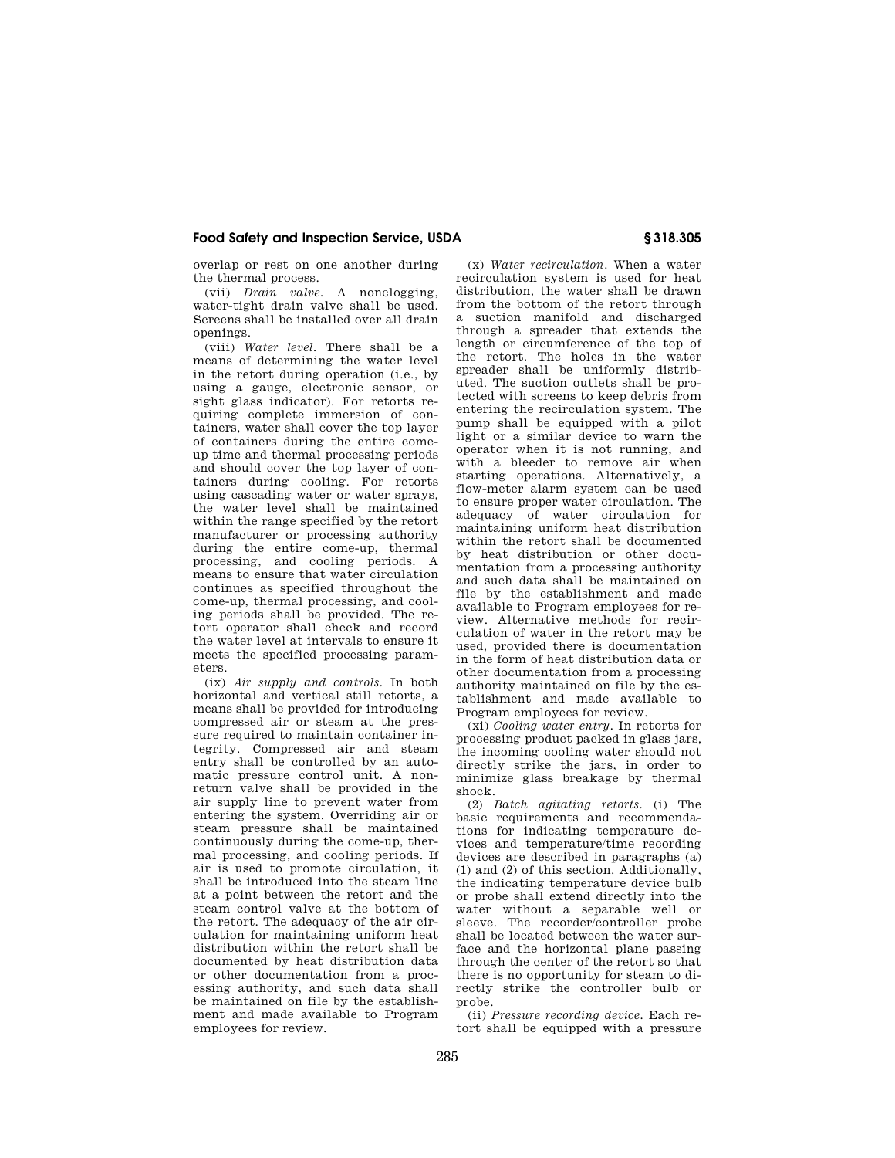overlap or rest on one another during the thermal process.

(vii) *Drain valve.* A nonclogging, water-tight drain valve shall be used. Screens shall be installed over all drain openings.

(viii) *Water level.* There shall be a means of determining the water level in the retort during operation (i.e., by using a gauge, electronic sensor, or sight glass indicator). For retorts requiring complete immersion of containers, water shall cover the top layer of containers during the entire comeup time and thermal processing periods and should cover the top layer of containers during cooling. For retorts using cascading water or water sprays, the water level shall be maintained within the range specified by the retort manufacturer or processing authority during the entire come-up, thermal processing, and cooling periods. A means to ensure that water circulation continues as specified throughout the come-up, thermal processing, and cooling periods shall be provided. The retort operator shall check and record the water level at intervals to ensure it meets the specified processing parameters.

(ix) *Air supply and controls.* In both horizontal and vertical still retorts, a means shall be provided for introducing compressed air or steam at the pressure required to maintain container integrity. Compressed air and steam entry shall be controlled by an automatic pressure control unit. A nonreturn valve shall be provided in the air supply line to prevent water from entering the system. Overriding air or steam pressure shall be maintained continuously during the come-up, thermal processing, and cooling periods. If air is used to promote circulation, it shall be introduced into the steam line at a point between the retort and the steam control valve at the bottom of the retort. The adequacy of the air circulation for maintaining uniform heat distribution within the retort shall be documented by heat distribution data or other documentation from a processing authority, and such data shall be maintained on file by the establishment and made available to Program employees for review.

(x) *Water recirculation.* When a water recirculation system is used for heat distribution, the water shall be drawn from the bottom of the retort through a suction manifold and discharged through a spreader that extends the length or circumference of the top of the retort. The holes in the water spreader shall be uniformly distributed. The suction outlets shall be protected with screens to keep debris from entering the recirculation system. The pump shall be equipped with a pilot light or a similar device to warn the operator when it is not running, and with a bleeder to remove air when starting operations. Alternatively, a flow-meter alarm system can be used to ensure proper water circulation. The adequacy of water circulation for maintaining uniform heat distribution within the retort shall be documented by heat distribution or other documentation from a processing authority and such data shall be maintained on file by the establishment and made available to Program employees for review. Alternative methods for recirculation of water in the retort may be used, provided there is documentation in the form of heat distribution data or other documentation from a processing authority maintained on file by the establishment and made available to Program employees for review.

(xi) *Cooling water entry.* In retorts for processing product packed in glass jars, the incoming cooling water should not directly strike the jars, in order to minimize glass breakage by thermal shock.

(2) *Batch agitating retorts.* (i) The basic requirements and recommendations for indicating temperature devices and temperature/time recording devices are described in paragraphs (a) (1) and (2) of this section. Additionally, the indicating temperature device bulb or probe shall extend directly into the water without a separable well or sleeve. The recorder/controller probe shall be located between the water surface and the horizontal plane passing through the center of the retort so that there is no opportunity for steam to directly strike the controller bulb or probe.

(ii) *Pressure recording device.* Each retort shall be equipped with a pressure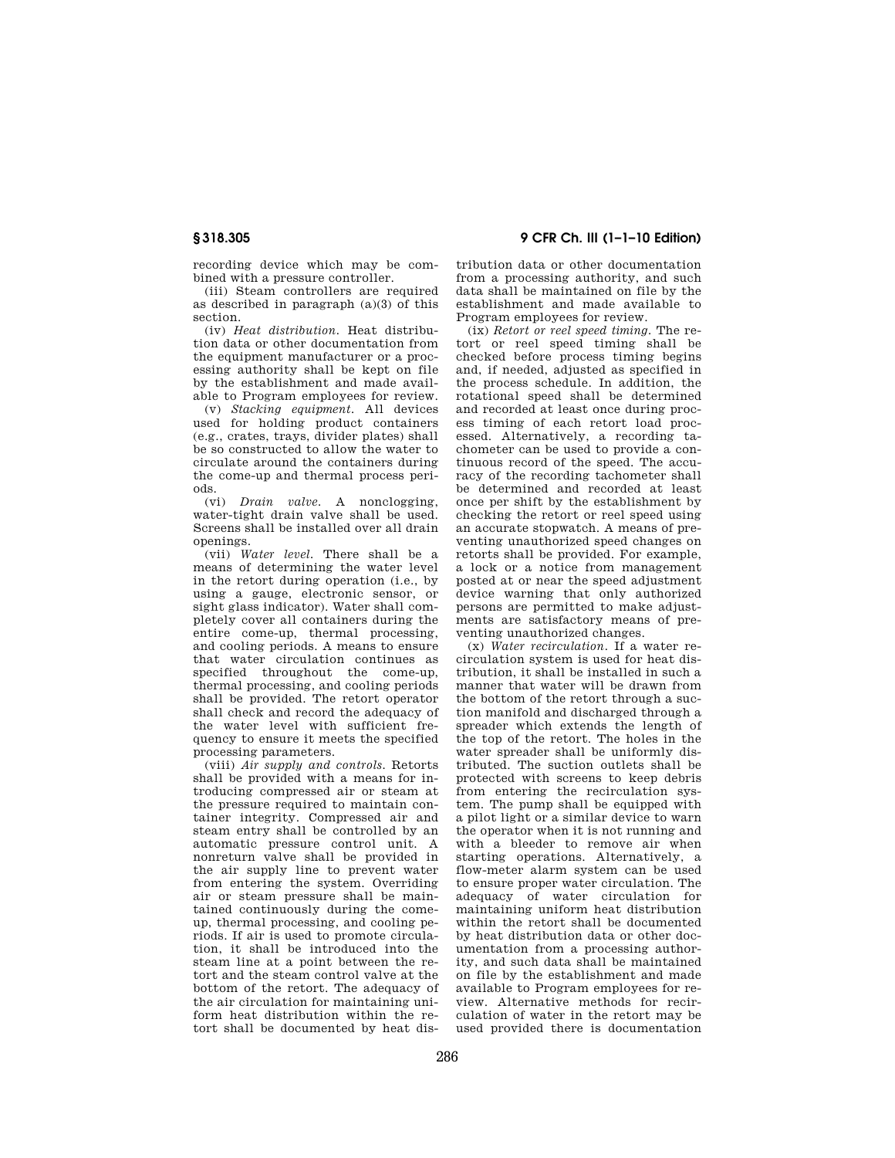recording device which may be combined with a pressure controller.

(iii) Steam controllers are required as described in paragraph (a)(3) of this section.

(iv) *Heat distribution.* Heat distribution data or other documentation from the equipment manufacturer or a processing authority shall be kept on file by the establishment and made available to Program employees for review.

(v) *Stacking equipment.* All devices used for holding product containers (e.g., crates, trays, divider plates) shall be so constructed to allow the water to circulate around the containers during the come-up and thermal process periods.

(vi) *Drain valve.* A nonclogging, water-tight drain valve shall be used. Screens shall be installed over all drain openings.

(vii) *Water level.* There shall be a means of determining the water level in the retort during operation (i.e., by using a gauge, electronic sensor, or sight glass indicator). Water shall completely cover all containers during the entire come-up, thermal processing, and cooling periods. A means to ensure that water circulation continues as specified throughout the come-up, thermal processing, and cooling periods shall be provided. The retort operator shall check and record the adequacy of the water level with sufficient frequency to ensure it meets the specified processing parameters.

(viii) *Air supply and controls.* Retorts shall be provided with a means for introducing compressed air or steam at the pressure required to maintain container integrity. Compressed air and steam entry shall be controlled by an automatic pressure control unit. A nonreturn valve shall be provided in the air supply line to prevent water from entering the system. Overriding air or steam pressure shall be maintained continuously during the comeup, thermal processing, and cooling periods. If air is used to promote circulation, it shall be introduced into the steam line at a point between the retort and the steam control valve at the bottom of the retort. The adequacy of the air circulation for maintaining uniform heat distribution within the retort shall be documented by heat dis-

tribution data or other documentation from a processing authority, and such data shall be maintained on file by the establishment and made available to Program employees for review.

(ix) *Retort or reel speed timing.* The retort or reel speed timing shall be checked before process timing begins and, if needed, adjusted as specified in the process schedule. In addition, the rotational speed shall be determined and recorded at least once during process timing of each retort load processed. Alternatively, a recording tachometer can be used to provide a continuous record of the speed. The accuracy of the recording tachometer shall be determined and recorded at least once per shift by the establishment by checking the retort or reel speed using an accurate stopwatch. A means of preventing unauthorized speed changes on retorts shall be provided. For example, a lock or a notice from management posted at or near the speed adjustment device warning that only authorized persons are permitted to make adjustments are satisfactory means of preventing unauthorized changes.

(x) *Water recirculation.* If a water recirculation system is used for heat distribution, it shall be installed in such a manner that water will be drawn from the bottom of the retort through a suction manifold and discharged through a spreader which extends the length of the top of the retort. The holes in the water spreader shall be uniformly distributed. The suction outlets shall be protected with screens to keep debris from entering the recirculation system. The pump shall be equipped with a pilot light or a similar device to warn the operator when it is not running and with a bleeder to remove air when starting operations. Alternatively, a flow-meter alarm system can be used to ensure proper water circulation. The adequacy of water circulation for maintaining uniform heat distribution within the retort shall be documented by heat distribution data or other documentation from a processing authority, and such data shall be maintained on file by the establishment and made available to Program employees for review. Alternative methods for recirculation of water in the retort may be used provided there is documentation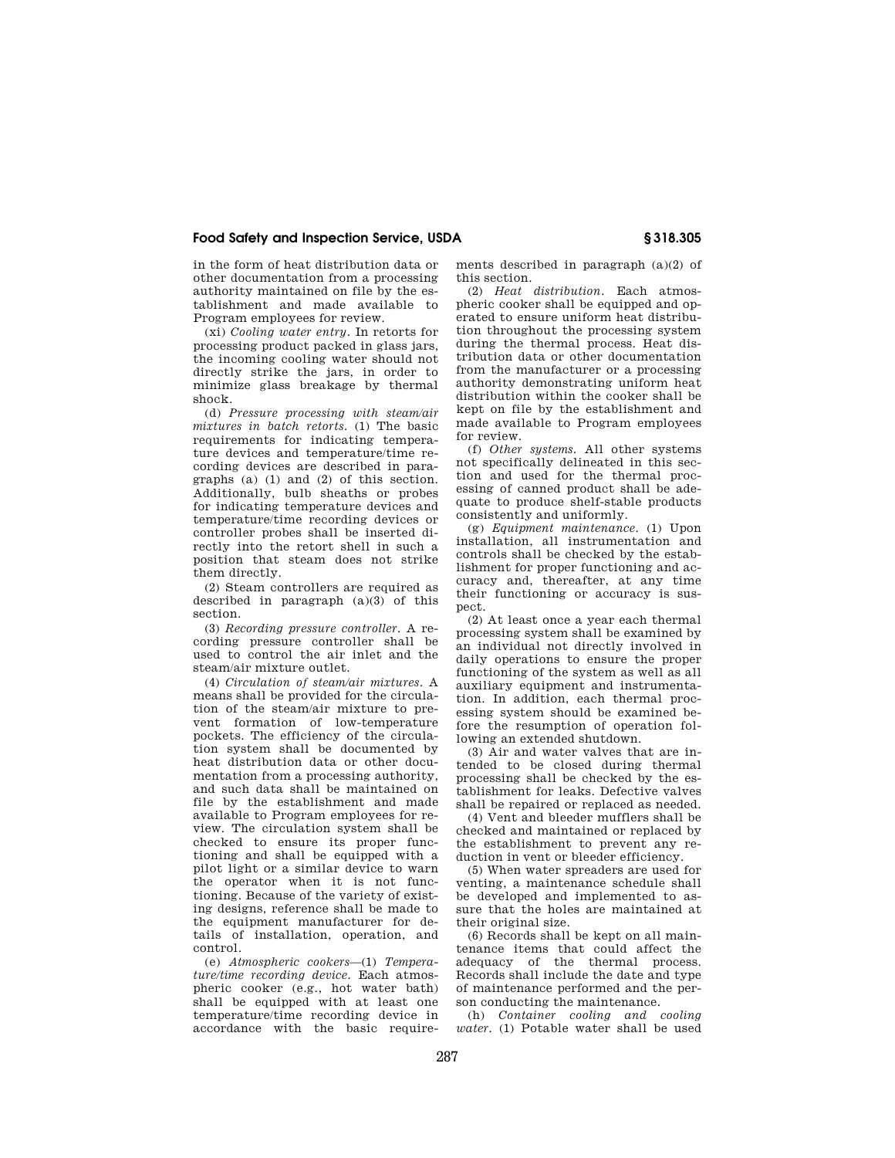in the form of heat distribution data or other documentation from a processing authority maintained on file by the establishment and made available to Program employees for review.

(xi) *Cooling water entry.* In retorts for processing product packed in glass jars, the incoming cooling water should not directly strike the jars, in order to minimize glass breakage by thermal shock.

(d) *Pressure processing with steam/air mixtures in batch retorts.* (1) The basic requirements for indicating temperature devices and temperature/time recording devices are described in paragraphs (a) (1) and (2) of this section. Additionally, bulb sheaths or probes for indicating temperature devices and temperature/time recording devices or controller probes shall be inserted directly into the retort shell in such a position that steam does not strike <sub>-</sub><br>them directly.

(2) Steam controllers are required as described in paragraph (a)(3) of this section.

(3) *Recording pressure controller.* A recording pressure controller shall be used to control the air inlet and the steam/air mixture outlet.

(4) *Circulation of steam/air mixtures.* A means shall be provided for the circulation of the steam/air mixture to prevent formation of low-temperature pockets. The efficiency of the circulation system shall be documented by heat distribution data or other documentation from a processing authority, and such data shall be maintained on file by the establishment and made available to Program employees for review. The circulation system shall be checked to ensure its proper functioning and shall be equipped with a pilot light or a similar device to warn the operator when it is not functioning. Because of the variety of existing designs, reference shall be made to the equipment manufacturer for details of installation, operation, and control.

(e) *Atmospheric cookers*—(1) *Temperature/time recording device.* Each atmospheric cooker (e.g., hot water bath) shall be equipped with at least one temperature/time recording device in accordance with the basic requirements described in paragraph (a)(2) of this section.

(2) *Heat distribution.* Each atmospheric cooker shall be equipped and operated to ensure uniform heat distribution throughout the processing system during the thermal process. Heat distribution data or other documentation from the manufacturer or a processing authority demonstrating uniform heat distribution within the cooker shall be kept on file by the establishment and made available to Program employees for review.

(f) *Other systems.* All other systems not specifically delineated in this section and used for the thermal processing of canned product shall be adequate to produce shelf-stable products consistently and uniformly.

(g) *Equipment maintenance.* (1) Upon installation, all instrumentation and controls shall be checked by the establishment for proper functioning and accuracy and, thereafter, at any time their functioning or accuracy is suspect.

(2) At least once a year each thermal processing system shall be examined by an individual not directly involved in daily operations to ensure the proper functioning of the system as well as all auxiliary equipment and instrumentation. In addition, each thermal processing system should be examined before the resumption of operation following an extended shutdown.

(3) Air and water valves that are intended to be closed during thermal processing shall be checked by the establishment for leaks. Defective valves shall be repaired or replaced as needed.

(4) Vent and bleeder mufflers shall be checked and maintained or replaced by the establishment to prevent any reduction in vent or bleeder efficiency.

(5) When water spreaders are used for venting, a maintenance schedule shall be developed and implemented to assure that the holes are maintained at their original size.

(6) Records shall be kept on all maintenance items that could affect the adequacy of the thermal process. Records shall include the date and type of maintenance performed and the person conducting the maintenance.

(h) *Container cooling and cooling water.* (1) Potable water shall be used